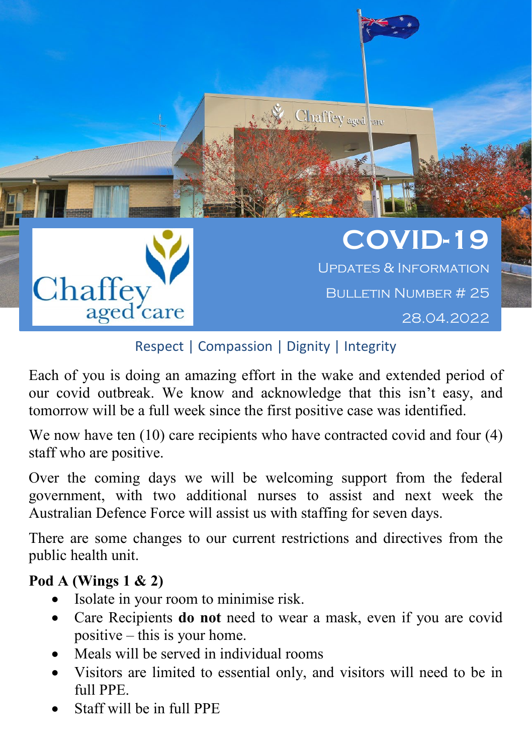

## Respect | Compassion | Dignity | Integrity

Each of you is doing an amazing effort in the wake and extended period of our covid outbreak. We know and acknowledge that this isn't easy, and tomorrow will be a full week since the first positive case was identified.

We now have ten (10) care recipients who have contracted covid and four (4) staff who are positive.

Over the coming days we will be welcoming support from the federal government, with two additional nurses to assist and next week the Australian Defence Force will assist us with staffing for seven days.

There are some changes to our current restrictions and directives from the public health unit.

## **Pod A (Wings 1 & 2)**

- Isolate in your room to minimise risk.
- Care Recipients **do not** need to wear a mask, even if you are covid positive – this is your home.
- Meals will be served in individual rooms
- Visitors are limited to essential only, and visitors will need to be in full PPE.
- Staff will be in full PPE